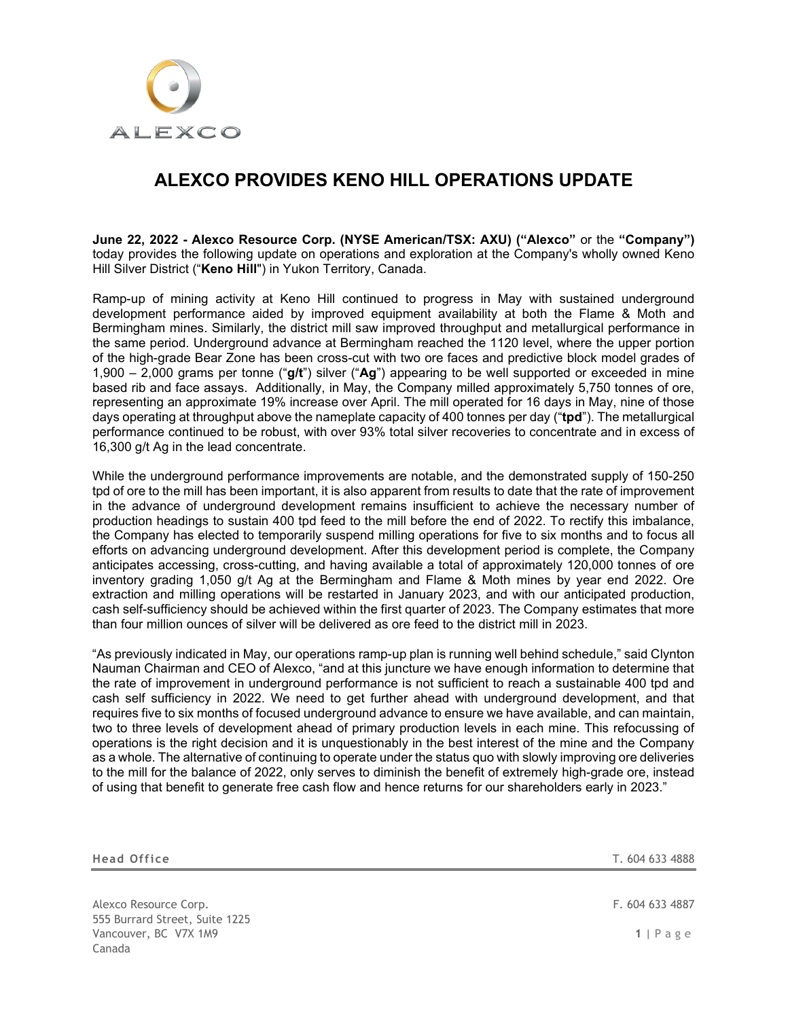

# **ALEXCO PROVIDES KENO HILL OPERATIONS UPDATE**

**June 22, 2022 - Alexco Resource Corp. (NYSE American/TSX: AXU) ("Alexco"** or the **"Company")** today provides the following update on operations and exploration at the Company's wholly owned Keno Hill Silver District ("**Keno Hill**") in Yukon Territory, Canada.

Ramp-up of mining activity at Keno Hill continued to progress in May with sustained underground development performance aided by improved equipment availability at both the Flame & Moth and Bermingham mines. Similarly, the district mill saw improved throughput and metallurgical performance in the same period. Underground advance at Bermingham reached the 1120 level, where the upper portion of the high-grade Bear Zone has been cross-cut with two ore faces and predictive block model grades of 1,900 – 2,000 grams per tonne ("**g/t**") silver ("**Ag**") appearing to be well supported or exceeded in mine based rib and face assays. Additionally, in May, the Company milled approximately 5,750 tonnes of ore, representing an approximate 19% increase over April. The mill operated for 16 days in May, nine of those days operating at throughput above the nameplate capacity of 400 tonnes per day ("**tpd**"). The metallurgical performance continued to be robust, with over 93% total silver recoveries to concentrate and in excess of 16,300 g/t Ag in the lead concentrate.

While the underground performance improvements are notable, and the demonstrated supply of 150-250 tpd of ore to the mill has been important, it is also apparent from results to date that the rate of improvement in the advance of underground development remains insufficient to achieve the necessary number of production headings to sustain 400 tpd feed to the mill before the end of 2022. To rectify this imbalance, the Company has elected to temporarily suspend milling operations for five to six months and to focus all efforts on advancing underground development. After this development period is complete, the Company anticipates accessing, cross-cutting, and having available a total of approximately 120,000 tonnes of ore inventory grading 1,050 g/t Ag at the Bermingham and Flame & Moth mines by year end 2022. Ore extraction and milling operations will be restarted in January 2023, and with our anticipated production, cash self-sufficiency should be achieved within the first quarter of 2023. The Company estimates that more than four million ounces of silver will be delivered as ore feed to the district mill in 2023.

"As previously indicated in May, our operations ramp-up plan is running well behind schedule," said Clynton Nauman Chairman and CEO of Alexco, "and at this juncture we have enough information to determine that the rate of improvement in underground performance is not sufficient to reach a sustainable 400 tpd and cash self sufficiency in 2022. We need to get further ahead with underground development, and that requires five to six months of focused underground advance to ensure we have available, and can maintain, two to three levels of development ahead of primary production levels in each mine. This refocussing of operations is the right decision and it is unquestionably in the best interest of the mine and the Company as a whole. The alternative of continuing to operate under the status quo with slowly improving ore deliveries to the mill for the balance of 2022, only serves to diminish the benefit of extremely high-grade ore, instead of using that benefit to generate free cash flow and hence returns for our shareholders early in 2023."

| <b>Head Office</b>                                      | T. 604 633 4888 |
|---------------------------------------------------------|-----------------|
|                                                         |                 |
| Alexco Resource Corp.<br>555 Burrard Street, Suite 1225 | F. 604 633 4887 |
| Vancouver, BC V7X 1M9<br>Canada                         | $1$   Page      |
|                                                         |                 |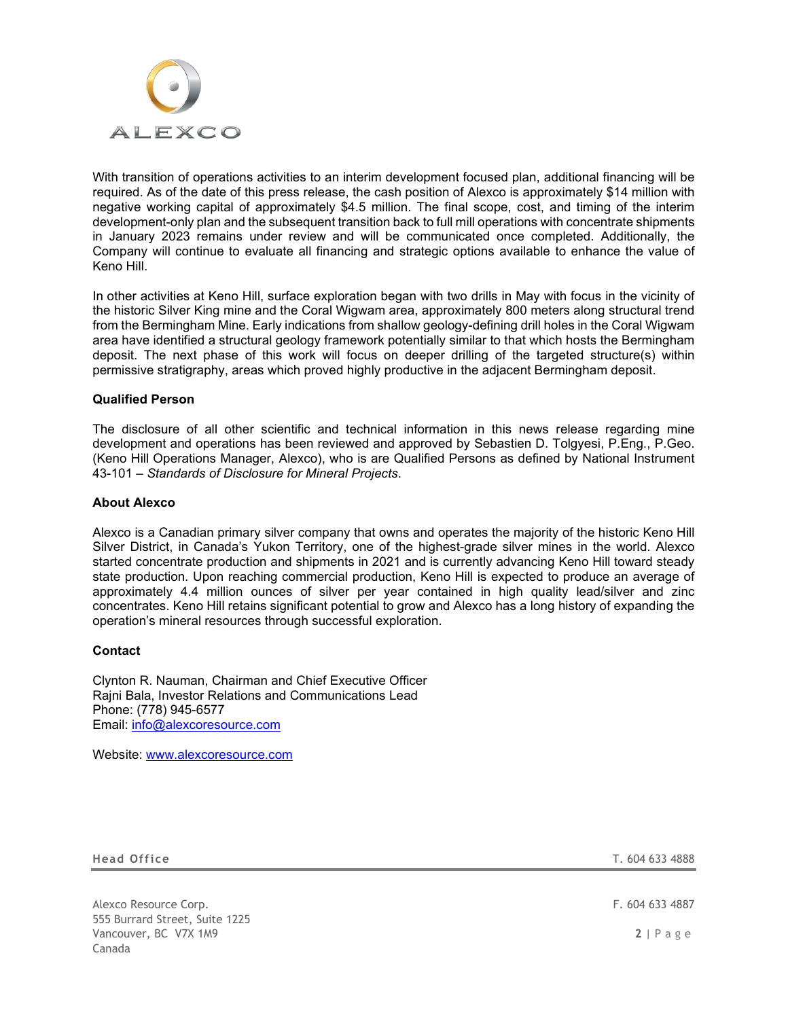

With transition of operations activities to an interim development focused plan, additional financing will be required. As of the date of this press release, the cash position of Alexco is approximately \$14 million with negative working capital of approximately \$4.5 million. The final scope, cost, and timing of the interim development-only plan and the subsequent transition back to full mill operations with concentrate shipments in January 2023 remains under review and will be communicated once completed. Additionally, the Company will continue to evaluate all financing and strategic options available to enhance the value of Keno Hill.

In other activities at Keno Hill, surface exploration began with two drills in May with focus in the vicinity of the historic Silver King mine and the Coral Wigwam area, approximately 800 meters along structural trend from the Bermingham Mine. Early indications from shallow geology-defining drill holes in the Coral Wigwam area have identified a structural geology framework potentially similar to that which hosts the Bermingham deposit. The next phase of this work will focus on deeper drilling of the targeted structure(s) within permissive stratigraphy, areas which proved highly productive in the adjacent Bermingham deposit.

## **Qualified Person**

The disclosure of all other scientific and technical information in this news release regarding mine development and operations has been reviewed and approved by Sebastien D. Tolgyesi, P.Eng., P.Geo. (Keno Hill Operations Manager, Alexco), who is are Qualified Persons as defined by National Instrument 43-101 – *Standards of Disclosure for Mineral Projects*.

### **About Alexco**

Alexco is a Canadian primary silver company that owns and operates the majority of the historic Keno Hill Silver District, in Canada's Yukon Territory, one of the highest-grade silver mines in the world. Alexco started concentrate production and shipments in 2021 and is currently advancing Keno Hill toward steady state production. Upon reaching commercial production, Keno Hill is expected to produce an average of approximately 4.4 million ounces of silver per year contained in high quality lead/silver and zinc concentrates. Keno Hill retains significant potential to grow and Alexco has a long history of expanding the operation's mineral resources through successful exploration.

#### **Contact**

Clynton R. Nauman, Chairman and Chief Executive Officer Rajni Bala, Investor Relations and Communications Lead Phone: (778) 945-6577 Email: [info@alexcoresource.com](mailto:info@alexcoresource.com)

Website: [www.alexcoresource.com](http://www.alexcoresource.com/)

**Head Office** T. 604 633 4888

Alexco Resource Corp. **F. 604 633 4887** 555 Burrard Street, Suite 1225 Vancouver, BC V7X 1M9 **2** | Page Canada